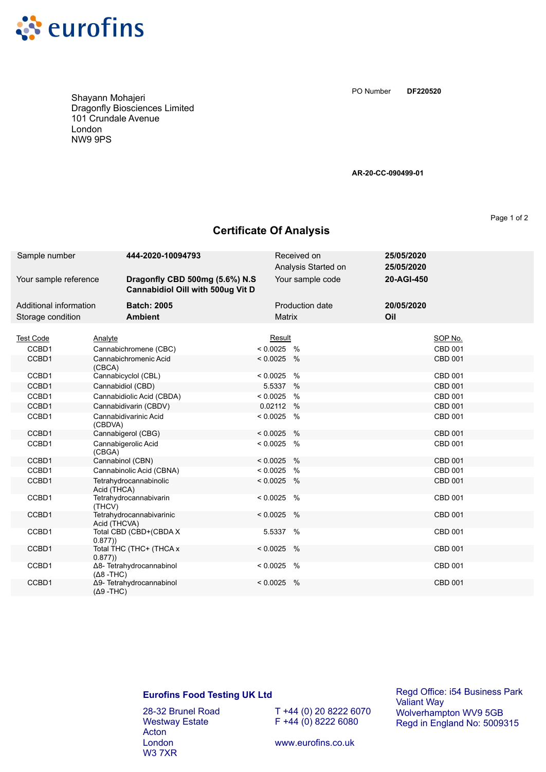

Shayann Mohajeri Dragonfly Biosciences Limited 101 Crundale Avenue London NW9 9PS

**DF220520** PO Number

**AR-20-CC-090499-01**

Page 1 of 2

## **Certificate Of Analysis**

| Sample number          | 444-2020-10094793                                                   |               | Received on<br>Analysis Started on | 25/05/2020<br>25/05/2020 |  |
|------------------------|---------------------------------------------------------------------|---------------|------------------------------------|--------------------------|--|
| Your sample reference  | Dragonfly CBD 500mg (5.6%) N.S<br>Cannabidiol Oill with 500ug Vit D |               | Your sample code                   | 20-AGI-450               |  |
| Additional information | <b>Batch: 2005</b>                                                  |               | <b>Production date</b>             | 20/05/2020               |  |
| Storage condition      | <b>Ambient</b>                                                      | <b>Matrix</b> |                                    | Oil                      |  |
| <b>Test Code</b>       | Analyte                                                             | Result        |                                    | SOP No.                  |  |
| CCBD1                  | Cannabichromene (CBC)                                               | $< 0.0025$ %  |                                    | <b>CBD 001</b>           |  |
| CCBD1                  | Cannabichromenic Acid                                               | $< 0.0025$ %  |                                    | <b>CBD 001</b>           |  |
|                        | (CBCA)                                                              |               |                                    |                          |  |
| CCBD1                  | Cannabicyclol (CBL)                                                 | $< 0.0025$ %  |                                    | CBD 001                  |  |
| CCBD1                  | Cannabidiol (CBD)                                                   | 5.5337 %      |                                    | <b>CBD 001</b>           |  |
| CCBD1                  | Cannabidiolic Acid (CBDA)                                           | $< 0.0025$ %  |                                    | CBD 001                  |  |
| CCBD1                  | Cannabidivarin (CBDV)                                               | 0.02112 %     |                                    | CBD 001                  |  |
| CCBD1                  | Cannabidivarinic Acid<br>(CBDVA)                                    | $< 0.0025$ %  |                                    | CBD 001                  |  |
| CCBD1                  | Cannabigerol (CBG)                                                  | $< 0.0025$ %  |                                    | <b>CBD 001</b>           |  |
| CCBD1                  | Cannabigerolic Acid<br>(CBGA)                                       | $< 0.0025$ %  |                                    | CBD 001                  |  |
| CCBD1                  | Cannabinol (CBN)                                                    | $< 0.0025$ %  |                                    | CBD 001                  |  |
| CCBD1                  | Cannabinolic Acid (CBNA)                                            | $< 0.0025$ %  |                                    | CBD 001                  |  |
| CCBD1                  | Tetrahydrocannabinolic<br>Acid (THCA)                               | $< 0.0025$ %  |                                    | <b>CBD 001</b>           |  |
| CCBD1                  | Tetrahydrocannabivarin<br>(THCV)                                    | < 0.0025      | $\%$                               | <b>CBD 001</b>           |  |
| CCBD1                  | Tetrahydrocannabivarinic<br>Acid (THCVA)                            | $< 0.0025$ %  |                                    | CBD 001                  |  |
| CCBD1                  | Total CBD (CBD+(CBDA X<br>0.877)                                    | 5.5337 %      |                                    | <b>CBD 001</b>           |  |
| CCBD1                  | Total THC (THC+ (THCA x<br>0.877)                                   | $< 0.0025$ %  |                                    | <b>CBD 001</b>           |  |
| CCBD1                  | Δ8- Tetrahydrocannabinol<br>$(Δ8 - THC)$                            | $< 0.0025$ %  |                                    | <b>CBD 001</b>           |  |
| CCBD1                  | Δ9- Tetrahydrocannabinol<br>$(Δ9 - THC)$                            | $< 0.0025$ %  |                                    | <b>CBD 001</b>           |  |

## **Eurofins Food Testing UK Ltd**

28-32 Brunel Road Westway Estate Acton London W3 7XR

T +44 (0) 20 8222 6070  $F + 44 (0) 8222 6080$ 

Regd Office: i54 Business Park Valiant Way Wolverhampton WV9 5GB Regd in England No: 5009315